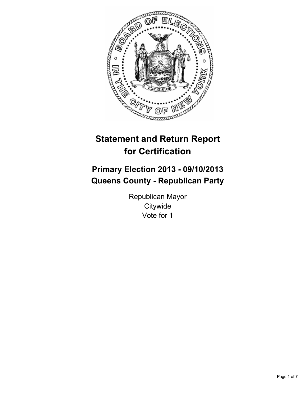

# **Statement and Return Report for Certification**

# **Primary Election 2013 - 09/10/2013 Queens County - Republican Party**

Republican Mayor **Citywide** Vote for 1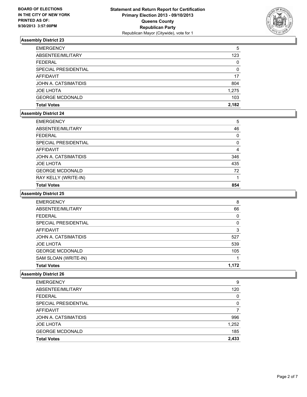

| <b>EMERGENCY</b>       | 5        |
|------------------------|----------|
| ABSENTEE/MILITARY      | 123      |
| <b>FEDERAL</b>         | 0        |
| SPECIAL PRESIDENTIAL   | $\Omega$ |
| <b>AFFIDAVIT</b>       | 17       |
| JOHN A. CATSIMATIDIS   | 804      |
| <b>JOE LHOTA</b>       | 1,275    |
| <b>GEORGE MCDONALD</b> | 103      |
| <b>Total Votes</b>     | 2.182    |

### **Assembly District 24**

| <b>EMERGENCY</b>       | 5        |
|------------------------|----------|
| ABSENTEE/MILITARY      | 46       |
| <b>FEDERAL</b>         | $\Omega$ |
| SPECIAL PRESIDENTIAL   | $\Omega$ |
| AFFIDAVIT              | 4        |
| JOHN A. CATSIMATIDIS   | 346      |
| <b>JOE LHOTA</b>       | 435      |
| <b>GEORGE MCDONALD</b> | 72       |
| RAY KELLY (WRITE-IN)   |          |
| <b>Total Votes</b>     | 854      |

## **Assembly District 25**

| <b>EMERGENCY</b>       | 8        |
|------------------------|----------|
| ABSENTEE/MILITARY      | 66       |
| FEDERAL                | 0        |
| SPECIAL PRESIDENTIAL   | $\Omega$ |
| <b>AFFIDAVIT</b>       | 3        |
| JOHN A. CATSIMATIDIS   | 527      |
| <b>JOE LHOTA</b>       | 539      |
| <b>GEORGE MCDONALD</b> | 105      |
| SAM SLOAN (WRITE-IN)   |          |
| <b>Total Votes</b>     | 1.172    |

| <b>Total Votes</b>          | 2,433 |
|-----------------------------|-------|
| <b>GEORGE MCDONALD</b>      | 185   |
| <b>JOE LHOTA</b>            | 1,252 |
| JOHN A. CATSIMATIDIS        | 996   |
| <b>AFFIDAVIT</b>            | 7     |
| <b>SPECIAL PRESIDENTIAL</b> | 0     |
| <b>FEDERAL</b>              | 0     |
| ABSENTEE/MILITARY           | 120   |
| <b>EMERGENCY</b>            | 9     |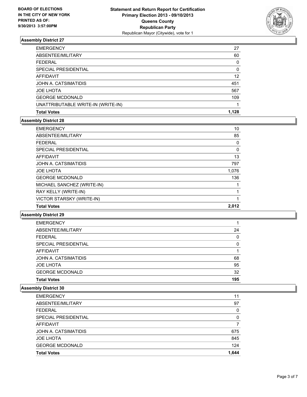

| <b>EMERGENCY</b>                   | 27       |
|------------------------------------|----------|
| ABSENTEE/MILITARY                  | 60       |
| <b>FEDERAL</b>                     | 0        |
| SPECIAL PRESIDENTIAL               | $\Omega$ |
| AFFIDAVIT                          | 12       |
| JOHN A. CATSIMATIDIS               | 451      |
| <b>JOE LHOTA</b>                   | 567      |
| <b>GEORGE MCDONALD</b>             | 109      |
| UNATTRIBUTABLE WRITE-IN (WRITE-IN) |          |
| <b>Total Votes</b>                 | 1.128    |

### **Assembly District 28**

| <b>EMERGENCY</b>                 | 10       |
|----------------------------------|----------|
| ABSENTEE/MILITARY                | 85       |
| <b>FEDERAL</b>                   | 0        |
| SPECIAL PRESIDENTIAL             | $\Omega$ |
| <b>AFFIDAVIT</b>                 | 13       |
| JOHN A. CATSIMATIDIS             | 797      |
| <b>JOE LHOTA</b>                 | 1,076    |
| <b>GEORGE MCDONALD</b>           | 136      |
| MICHAEL SANCHEZ (WRITE-IN)       |          |
| RAY KELLY (WRITE-IN)             |          |
| <b>VICTOR STARSKY (WRITE-IN)</b> |          |
| <b>Total Votes</b>               | 2.012    |

**Assembly District 29**

| <b>EMERGENCY</b>       |          |
|------------------------|----------|
| ABSENTEE/MILITARY      | 24       |
| <b>FEDERAL</b>         | $\Omega$ |
| SPECIAL PRESIDENTIAL   | $\Omega$ |
| AFFIDAVIT              |          |
| JOHN A. CATSIMATIDIS   | 68       |
| <b>JOE LHOTA</b>       | 95       |
| <b>GEORGE MCDONALD</b> | 32       |
| <b>Total Votes</b>     | 195      |

| <b>Total Votes</b>     | 1.644 |
|------------------------|-------|
| <b>GEORGE MCDONALD</b> | 124   |
| <b>JOE LHOTA</b>       | 845   |
| JOHN A. CATSIMATIDIS   | 675   |
| <b>AFFIDAVIT</b>       | 7     |
| SPECIAL PRESIDENTIAL   | 0     |
| <b>FEDERAL</b>         | 0     |
| ABSENTEE/MILITARY      | 97    |
| <b>EMERGENCY</b>       | 11    |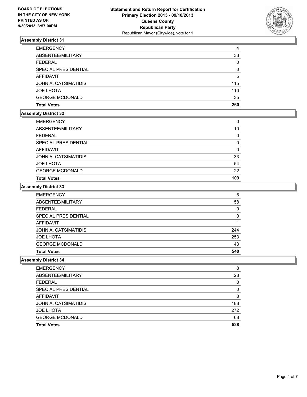

| <b>EMERGENCY</b>       | 4        |
|------------------------|----------|
| ABSENTEE/MILITARY      | 33       |
| <b>FEDERAL</b>         | $\Omega$ |
| SPECIAL PRESIDENTIAL   | $\Omega$ |
| AFFIDAVIT              | 5        |
| JOHN A. CATSIMATIDIS   | 115      |
| <b>JOE LHOTA</b>       | 110      |
| <b>GEORGE MCDONALD</b> | 35       |
| <b>Total Votes</b>     | 260      |

### **Assembly District 32**

| <b>EMERGENCY</b>       | $\Omega$ |
|------------------------|----------|
| ABSENTEE/MILITARY      | 10       |
| <b>FEDERAL</b>         | 0        |
| SPECIAL PRESIDENTIAL   | $\Omega$ |
| <b>AFFIDAVIT</b>       | 0        |
| JOHN A. CATSIMATIDIS   | 33       |
| <b>JOE LHOTA</b>       | 54       |
| <b>GEORGE MCDONALD</b> | 22       |
| <b>Total Votes</b>     | 109      |

#### **Assembly District 33**

| <b>EMERGENCY</b>       | 6        |
|------------------------|----------|
| ABSENTEE/MILITARY      | 58       |
| <b>FEDERAL</b>         | $\Omega$ |
| SPECIAL PRESIDENTIAL   | 0        |
| AFFIDAVIT              |          |
| JOHN A. CATSIMATIDIS   | 244      |
| <b>JOE LHOTA</b>       | 253      |
| <b>GEORGE MCDONALD</b> | 43       |
| <b>Total Votes</b>     | 540      |

| <b>EMERGENCY</b>       | 8   |
|------------------------|-----|
| ABSENTEE/MILITARY      | 28  |
| <b>FEDERAL</b>         | 0   |
| SPECIAL PRESIDENTIAL   | 0   |
| <b>AFFIDAVIT</b>       | 8   |
| JOHN A. CATSIMATIDIS   | 188 |
| <b>JOE LHOTA</b>       | 272 |
| <b>GEORGE MCDONALD</b> | 68  |
| <b>Total Votes</b>     | 528 |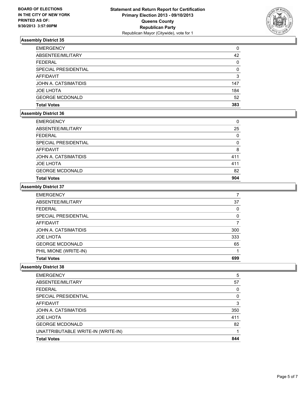

| <b>EMERGENCY</b>       | 0   |
|------------------------|-----|
| ABSENTEE/MILITARY      | 42  |
| <b>FEDERAL</b>         | 0   |
| SPECIAL PRESIDENTIAL   | 0   |
| AFFIDAVIT              | 3   |
| JOHN A. CATSIMATIDIS   | 147 |
| <b>JOE LHOTA</b>       | 184 |
| <b>GEORGE MCDONALD</b> | 52  |
| <b>Total Votes</b>     | 383 |

### **Assembly District 36**

| <b>Total Votes</b>     | 904 |
|------------------------|-----|
| <b>GEORGE MCDONALD</b> | 82  |
| <b>JOE LHOTA</b>       | 411 |
| JOHN A. CATSIMATIDIS   | 411 |
| AFFIDAVIT              | 8   |
| SPECIAL PRESIDENTIAL   | 0   |
| <b>FEDERAL</b>         | 0   |
| ABSENTEE/MILITARY      | 25  |
| <b>EMERGENCY</b>       | 0   |

#### **Assembly District 37**

| <b>EMERGENCY</b>       |     |
|------------------------|-----|
| ABSENTEE/MILITARY      | 37  |
| <b>FEDERAL</b>         | 0   |
| SPECIAL PRESIDENTIAL   | 0   |
| AFFIDAVIT              |     |
| JOHN A. CATSIMATIDIS   | 300 |
| <b>JOE LHOTA</b>       | 333 |
| <b>GEORGE MCDONALD</b> | 65  |
| PHIL MIONE (WRITE-IN)  |     |
| <b>Total Votes</b>     | 699 |

| <b>Total Votes</b>                 | 844 |
|------------------------------------|-----|
| UNATTRIBUTABLE WRITE-IN (WRITE-IN) |     |
| <b>GEORGE MCDONALD</b>             | 82  |
| <b>JOE LHOTA</b>                   | 411 |
| JOHN A. CATSIMATIDIS               | 350 |
| AFFIDAVIT                          | 3   |
| SPECIAL PRESIDENTIAL               | 0   |
| <b>FEDERAL</b>                     | 0   |
| ABSENTEE/MILITARY                  | 57  |
| <b>EMERGENCY</b>                   | 5   |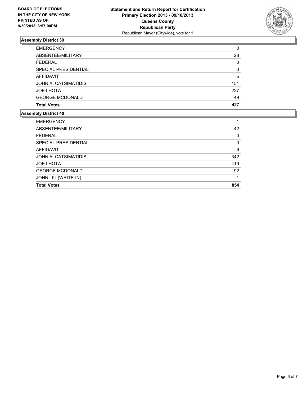

| 0        |
|----------|
| 28       |
| 0        |
| $\Omega$ |
| 5        |
| 151      |
| 227      |
| 49       |
| 427      |
|          |

| <b>EMERGENCY</b>       |     |
|------------------------|-----|
| ABSENTEE/MILITARY      | 42  |
| <b>FEDERAL</b>         | 0   |
| SPECIAL PRESIDENTIAL   | 0   |
| <b>AFFIDAVIT</b>       | 6   |
| JOHN A. CATSIMATIDIS   | 342 |
| <b>JOE LHOTA</b>       | 419 |
| <b>GEORGE MCDONALD</b> | 92  |
| JOHN LIU (WRITE-IN)    |     |
| <b>Total Votes</b>     | 854 |
|                        |     |